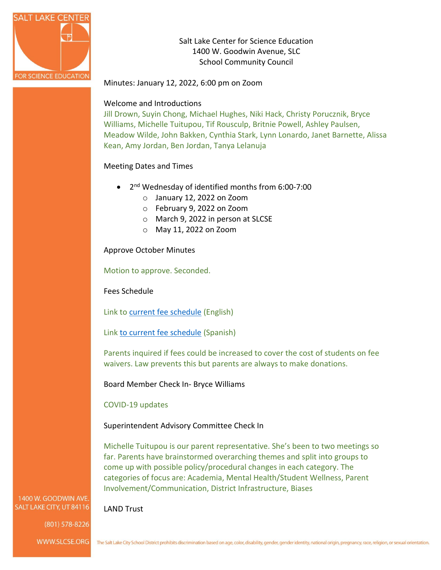

Salt Lake Center for Science Education 1400 W. Goodwin Avenue, SLC School Community Council

Minutes: January 12, 2022, 6:00 pm on Zoom

## Welcome and Introductions

Jill Drown, Suyin Chong, Michael Hughes, Niki Hack, Christy Porucznik, Bryce Williams, Michelle Tuitupou, Tif Rousculp, Britnie Powell, Ashley Paulsen, Meadow Wilde, John Bakken, Cynthia Stark, Lynn Lonardo, Janet Barnette, Alissa Kean, Amy Jordan, Ben Jordan, Tanya Lelanuja

## Meeting Dates and Times

- 2<sup>nd</sup> Wednesday of identified months from 6:00-7:00
	- o January 12, 2022 on Zoom
	- o February 9, 2022 on Zoom
	- o March 9, 2022 in person at SLCSE
	- o May 11, 2022 on Zoom

Approve October Minutes

Motion to approve. Seconded.

Fees Schedule

Link to [current fee schedule](https://resources.finalsite.net/images/v1623173900/slcschoolsorg/rne3vp77o5uqntcbatro/s-10-high-school-fee-schedule-english.pdf) (English)

Link [to current fee schedule](https://resources.finalsite.net/images/v1628188830/slcschoolsorg/srktiwlyl6cz4dqpjudw/s-10-high-school-fee-schedule-spanish.pdf) (Spanish)

Parents inquired if fees could be increased to cover the cost of students on fee waivers. Law prevents this but parents are always to make donations.

Board Member Check In- Bryce Williams

COVID-19 updates

LAND Trust

## Superintendent Advisory Committee Check In

Michelle Tuitupou is our parent representative. She's been to two meetings so far. Parents have brainstormed overarching themes and split into groups to come up with possible policy/procedural changes in each category. The categories of focus are: Academia, Mental Health/Student Wellness, Parent Involvement/Communication, District Infrastructure, Biases

### 1400 W. GOODWIN AVE SALT LAKE CITY, UT 84116

(801) 578-8226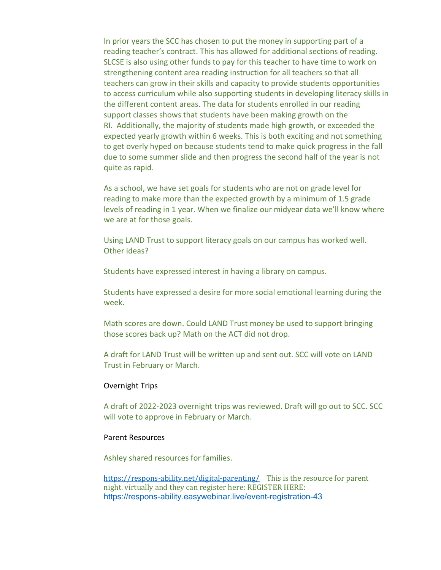In prior years the SCC has chosen to put the money in supporting part of a reading teacher's contract. This has allowed for additional sections of reading. SLCSE is also using other funds to pay for this teacher to have time to work on strengthening content area reading instruction for all teachers so that all teachers can grow in their skills and capacity to provide students opportunities to access curriculum while also supporting students in developing literacy skills in the different content areas. The data for students enrolled in our reading support classes shows that students have been making growth on the RI. Additionally, the majority of students made high growth, or exceeded the expected yearly growth within 6 weeks. This is both exciting and not something to get overly hyped on because students tend to make quick progress in the fall due to some summer slide and then progress the second half of the year is not quite as rapid.

As a school, we have set goals for students who are not on grade level for reading to make more than the expected growth by a minimum of 1.5 grade levels of reading in 1 year. When we finalize our midyear data we'll know where we are at for those goals.

Using LAND Trust to support literacy goals on our campus has worked well. Other ideas?

Students have expressed interest in having a library on campus.

Students have expressed a desire for more social emotional learning during the week.

Math scores are down. Could LAND Trust money be used to support bringing those scores back up? Math on the ACT did not drop.

A draft for LAND Trust will be written up and sent out. SCC will vote on LAND Trust in February or March.

#### Overnight Trips

A draft of 2022-2023 overnight trips was reviewed. Draft will go out to SCC. SCC will vote to approve in February or March.

### Parent Resources

Ashley shared resources for families.

<https://respons-ability.net/digital-parenting/> This is the resource for parent night. virtually and they can register here: REGISTER HERE: <https://respons-ability.easywebinar.live/event-registration-43>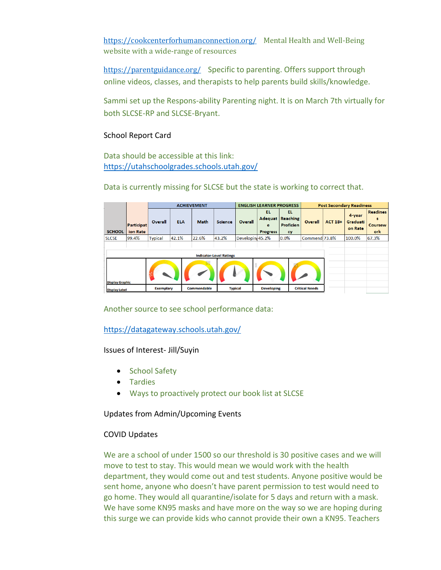<https://cookcenterforhumanconnection.org/> Mental Health and Well-Being website with a wide-range of resources

<https://parentguidance.org/> Specific to parenting. Offers support through online videos, classes, and therapists to help parents build skills/knowledge.

Sammi set up the Respons-ability Parenting night. It is on March 7th virtually for both SLCSE-RP and SLCSE-Bryant.

## School Report Card

Data should be accessible at this link: <https://utahschoolgrades.schools.utah.gov/>

Data is currently missing for SLCSE but the state is working to correct that.

|                                                          |                               | <b>ACHIEVEMENT</b> |            |             |                | <b>ENGLISH LEARNER PROGRESS</b> |                             |                                                          | <b>Post Secondary Readiness</b> |                |                               |                                               |
|----------------------------------------------------------|-------------------------------|--------------------|------------|-------------|----------------|---------------------------------|-----------------------------|----------------------------------------------------------|---------------------------------|----------------|-------------------------------|-----------------------------------------------|
| <b>SCHOOL</b>                                            | <b>Participat</b><br>ion Rate | Overall            | <b>ELA</b> | <b>Math</b> | <b>Science</b> | Overall                         | EL.<br>e<br><b>Progress</b> | EL.<br><b>Adequat Reaching</b><br><b>Proficien</b><br>cy | Overall                         | <b>ACT 18+</b> | 4-year<br>Graduati<br>on Rate | <b>Readines</b><br>s<br><b>Coursew</b><br>ork |
| <b>SLCSE</b>                                             | 99.4%                         | <b>Typical</b>     | 42.1%      | 22.6%       | 43.2%          | Developing 45.2%                |                             | 0.0%                                                     | Commend 73.8%                   |                | 100.0%                        | 67.3%                                         |
| <b>Indicator-Level Ratings</b><br><b>Display Graphic</b> |                               |                    |            |             |                |                                 |                             |                                                          |                                 |                |                               |                                               |
| <b>Display Label</b>                                     |                               | <b>Exemplary</b>   |            | Commendable | <b>Typical</b> |                                 | <b>Developing</b>           |                                                          | <b>Critical Needs</b>           |                |                               |                                               |

Another source to see school performance data:

<https://datagateway.schools.utah.gov/>

Issues of Interest- Jill/Suyin

- School Safety
- Tardies
- Ways to proactively protect our book list at SLCSE

Updates from Admin/Upcoming Events

## COVID Updates

We are a school of under 1500 so our threshold is 30 positive cases and we will move to test to stay. This would mean we would work with the health department, they would come out and test students. Anyone positive would be sent home, anyone who doesn't have parent permission to test would need to go home. They would all quarantine/isolate for 5 days and return with a mask. We have some KN95 masks and have more on the way so we are hoping during this surge we can provide kids who cannot provide their own a KN95. Teachers